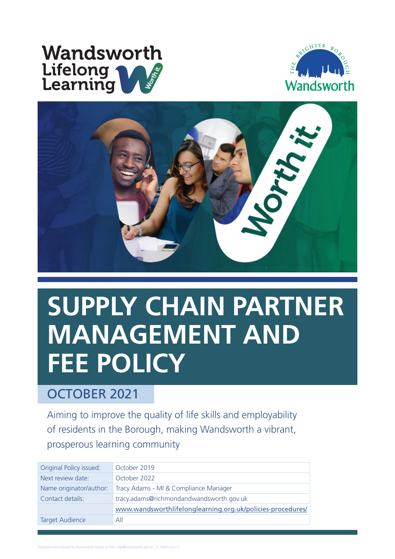# **Wandsworth** Lifelong<br>Learning





# **SUPPLY CHAIN PARTNER MANAGEMENT AND FEE POLICY**

#### OCTOBER 2021

Aiming to improve the quality of life skills and employability of residents in the Borough, making Wandsworth a vibrant, prosperous learning community

| Original Policy issued: | October 2019                                               |
|-------------------------|------------------------------------------------------------|
| Next review date:       | October 2022                                               |
| Name originator/author: | Tracy Adams - MI & Compliance Manager                      |
| Contact details:        | tracy.adams@richmondandwandsworth.gov.uk                   |
|                         | www.wandsworthlifelonglearning.org.uk/policies-procedures/ |
| <b>Target Audience</b>  | All                                                        |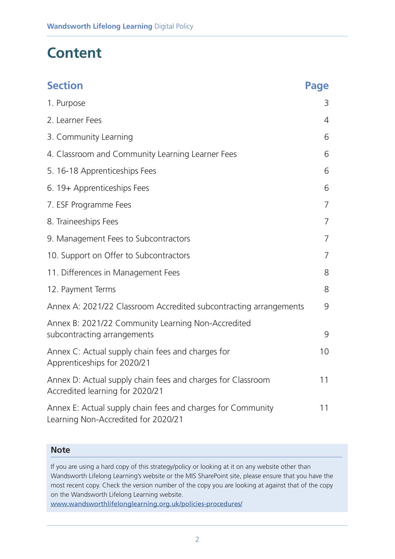### **Content**

| <b>Section</b>                                                                                     | <b>Page</b>    |
|----------------------------------------------------------------------------------------------------|----------------|
| 1. Purpose                                                                                         | 3              |
| 2. Learner Fees                                                                                    | 4              |
| 3. Community Learning                                                                              | 6              |
| 4. Classroom and Community Learning Learner Fees                                                   | 6              |
| 5. 16-18 Apprenticeships Fees                                                                      | 6              |
| 6. 19+ Apprenticeships Fees                                                                        | 6              |
| 7. ESF Programme Fees                                                                              | 7              |
| 8. Traineeships Fees                                                                               | $\overline{7}$ |
| 9. Management Fees to Subcontractors                                                               | 7              |
| 10. Support on Offer to Subcontractors                                                             | 7              |
| 11. Differences in Management Fees                                                                 | 8              |
| 12. Payment Terms                                                                                  | 8              |
| Annex A: 2021/22 Classroom Accredited subcontracting arrangements                                  | 9              |
| Annex B: 2021/22 Community Learning Non-Accredited<br>subcontracting arrangements                  | 9              |
| Annex C: Actual supply chain fees and charges for<br>Apprenticeships for 2020/21                   | 10             |
| Annex D: Actual supply chain fees and charges for Classroom<br>Accredited learning for 2020/21     | 11             |
| Annex E: Actual supply chain fees and charges for Community<br>Learning Non-Accredited for 2020/21 | 11             |

#### **Note**

If you are using a hard copy of this strategy/policy or looking at it on any website other than Wandsworth Lifelong Learning's website or the MIS SharePoint site, please ensure that you have the most recent copy. Check the version number of the copy you are looking at against that of the copy on the Wandsworth Lifelong Learning website.

www.wandsworthlifelonglearning.org.uk/policies-procedures/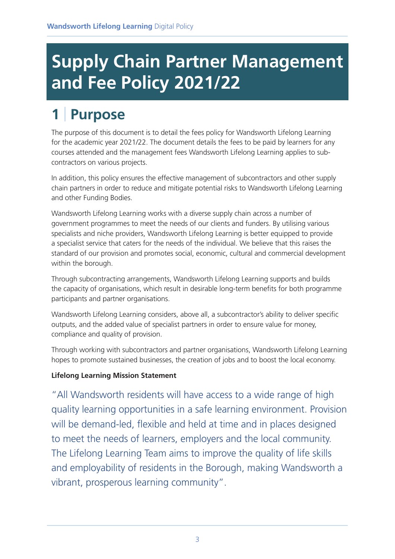# **Supply Chain Partner Management and Fee Policy 2021/22**

# **1** | **Purpose**

The purpose of this document is to detail the fees policy for Wandsworth Lifelong Learning for the academic year 2021/22. The document details the fees to be paid by learners for any courses attended and the management fees Wandsworth Lifelong Learning applies to subcontractors on various projects.

In addition, this policy ensures the effective management of subcontractors and other supply chain partners in order to reduce and mitigate potential risks to Wandsworth Lifelong Learning and other Funding Bodies.

Wandsworth Lifelong Learning works with a diverse supply chain across a number of government programmes to meet the needs of our clients and funders. By utilising various specialists and niche providers, Wandsworth Lifelong Learning is better equipped to provide a specialist service that caters for the needs of the individual. We believe that this raises the standard of our provision and promotes social, economic, cultural and commercial development within the borough.

Through subcontracting arrangements, Wandsworth Lifelong Learning supports and builds the capacity of organisations, which result in desirable long-term benefits for both programme participants and partner organisations.

Wandsworth Lifelong Learning considers, above all, a subcontractor's ability to deliver specific outputs, and the added value of specialist partners in order to ensure value for money, compliance and quality of provision.

Through working with subcontractors and partner organisations, Wandsworth Lifelong Learning hopes to promote sustained businesses, the creation of jobs and to boost the local economy.

#### **Lifelong Learning Mission Statement**

"All Wandsworth residents will have access to a wide range of high quality learning opportunities in a safe learning environment. Provision will be demand-led, flexible and held at time and in places designed to meet the needs of learners, employers and the local community. The Lifelong Learning Team aims to improve the quality of life skills and employability of residents in the Borough, making Wandsworth a vibrant, prosperous learning community".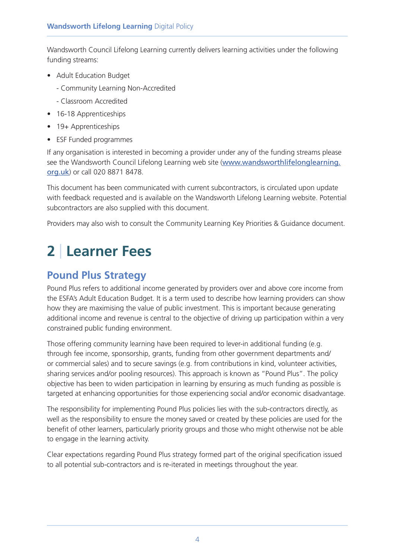Wandsworth Council Lifelong Learning currently delivers learning activities under the following funding streams:

- Adult Education Budget
	- Community Learning Non-Accredited
	- Classroom Accredited
- 16-18 Apprenticeships
- 19+ Apprenticeships
- ESF Funded programmes

If any organisation is interested in becoming a provider under any of the funding streams please see the Wandsworth Council Lifelong Learning web site (www.wandsworthlifelonglearning. org.uk) or call 020 8871 8478.

This document has been communicated with current subcontractors, is circulated upon update with feedback requested and is available on the Wandsworth Lifelong Learning website. Potential subcontractors are also supplied with this document.

Providers may also wish to consult the Community Learning Key Priorities & Guidance document.

### **2** | **Learner Fees**

#### **Pound Plus Strategy**

Pound Plus refers to additional income generated by providers over and above core income from the ESFA's Adult Education Budget. It is a term used to describe how learning providers can show how they are maximising the value of public investment. This is important because generating additional income and revenue is central to the objective of driving up participation within a very constrained public funding environment.

Those offering community learning have been required to lever-in additional funding (e.g. through fee income, sponsorship, grants, funding from other government departments and/ or commercial sales) and to secure savings (e.g. from contributions in kind, volunteer activities, sharing services and/or pooling resources). This approach is known as "Pound Plus". The policy objective has been to widen participation in learning by ensuring as much funding as possible is targeted at enhancing opportunities for those experiencing social and/or economic disadvantage.

The responsibility for implementing Pound Plus policies lies with the sub-contractors directly, as well as the responsibility to ensure the money saved or created by these policies are used for the benefit of other learners, particularly priority groups and those who might otherwise not be able to engage in the learning activity.

Clear expectations regarding Pound Plus strategy formed part of the original specification issued to all potential sub-contractors and is re-iterated in meetings throughout the year.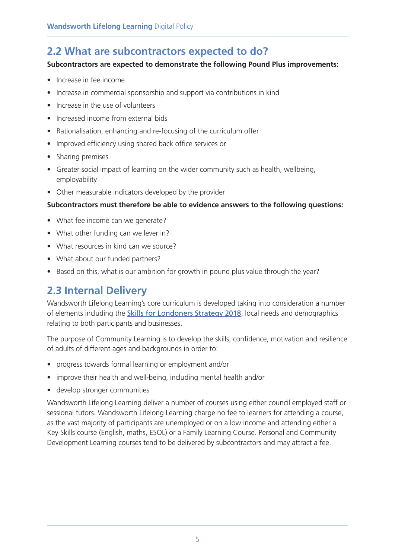#### **2.2 What are subcontractors expected to do?**

#### **Subcontractors are expected to demonstrate the following Pound Plus improvements:**

- Increase in fee income
- Increase in commercial sponsorship and support via contributions in kind
- Increase in the use of volunteers
- Increased income from external bids
- Rationalisation, enhancing and re-focusing of the curriculum offer
- Improved efficiency using shared back office services or
- Sharing premises
- Greater social impact of learning on the wider community such as health, wellbeing, employability
- Other measurable indicators developed by the provider

#### **Subcontractors must therefore be able to evidence answers to the following questions:**

- What fee income can we generate?
- What other funding can we lever in?
- What resources in kind can we source?
- What about our funded partners?
- Based on this, what is our ambition for growth in pound plus value through the year?

#### **2.3 Internal Delivery**

Wandsworth Lifelong Learning's core curriculum is developed taking into consideration a number of elements including the **Skills for Londoners Strategy 2018**, local needs and demographics relating to both participants and businesses.

The purpose of Community Learning is to develop the skills, confidence, motivation and resilience of adults of different ages and backgrounds in order to:

- progress towards formal learning or employment and/or
- improve their health and well-being, including mental health and/or
- develop stronger communities

Wandsworth Lifelong Learning deliver a number of courses using either council employed staff or sessional tutors. Wandsworth Lifelong Learning charge no fee to learners for attending a course, as the vast majority of participants are unemployed or on a low income and attending either a Key Skills course (English, maths, ESOL) or a Family Learning Course. Personal and Community Development Learning courses tend to be delivered by subcontractors and may attract a fee.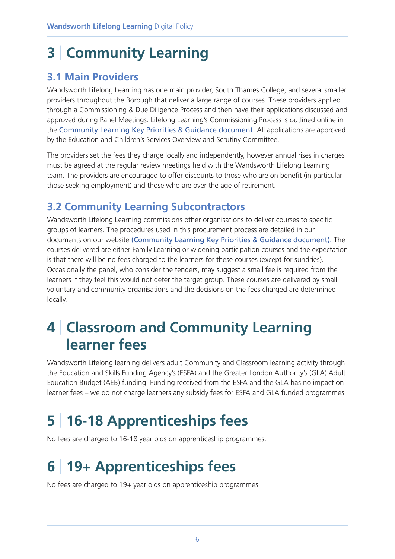## **3** | **Community Learning**

#### **3.1 Main Providers**

Wandsworth Lifelong Learning has one main provider, South Thames College, and several smaller providers throughout the Borough that deliver a large range of courses. These providers applied through a Commissioning & Due Diligence Process and then have their applications discussed and approved during Panel Meetings. Lifelong Learning's Commissioning Process is outlined online in the Community Learning Key Priorities & Guidance document. All applications are approved by the Education and Children's Services Overview and Scrutiny Committee.

The providers set the fees they charge locally and independently, however annual rises in charges must be agreed at the regular review meetings held with the Wandsworth Lifelong Learning team. The providers are encouraged to offer discounts to those who are on benefit (in particular those seeking employment) and those who are over the age of retirement.

#### **3.2 Community Learning Subcontractors**

Wandsworth Lifelong Learning commissions other organisations to deliver courses to specific groups of learners. The procedures used in this procurement process are detailed in our documents on our website (Community Learning Key Priorities & Guidance document). The courses delivered are either Family Learning or widening participation courses and the expectation is that there will be no fees charged to the learners for these courses (except for sundries). Occasionally the panel, who consider the tenders, may suggest a small fee is required from the learners if they feel this would not deter the target group. These courses are delivered by small voluntary and community organisations and the decisions on the fees charged are determined locally.

### **4** | **Classroom and Community Learning learner fees**

Wandsworth Lifelong learning delivers adult Community and Classroom learning activity through the Education and Skills Funding Agency's (ESFA) and the Greater London Authority's (GLA) Adult Education Budget (AEB) funding. Funding received from the ESFA and the GLA has no impact on learner fees – we do not charge learners any subsidy fees for ESFA and GLA funded programmes.

## **5** | **16-18 Apprenticeships fees**

No fees are charged to 16-18 year olds on apprenticeship programmes.

## **6** | **19+ Apprenticeships fees**

No fees are charged to 19+ year olds on apprenticeship programmes.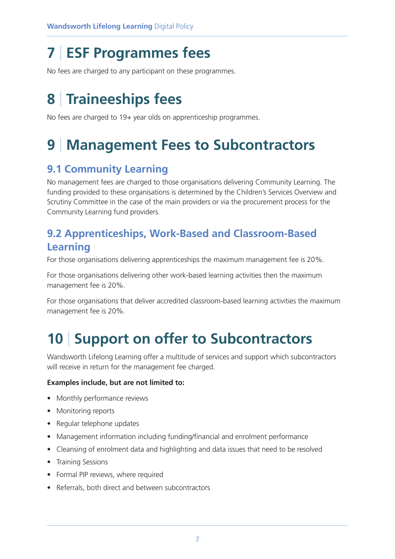### **7** | **ESF Programmes fees**

No fees are charged to any participant on these programmes.

### **8** | **Traineeships fees**

No fees are charged to 19+ year olds on apprenticeship programmes.

## **9** | **Management Fees to Subcontractors**

#### **9.1 Community Learning**

No management fees are charged to those organisations delivering Community Learning. The funding provided to these organisations is determined by the Children's Services Overview and Scrutiny Committee in the case of the main providers or via the procurement process for the Community Learning fund providers.

#### **9.2 Apprenticeships, Work-Based and Classroom-Based Learning**

For those organisations delivering apprenticeships the maximum management fee is 20%.

For those organisations delivering other work-based learning activities then the maximum management fee is 20%.

For those organisations that deliver accredited classroom-based learning activities the maximum management fee is 20%.

## **10** | **Support on offer to Subcontractors**

Wandsworth Lifelong Learning offer a multitude of services and support which subcontractors will receive in return for the management fee charged.

#### **Examples include, but are not limited to:**

- Monthly performance reviews
- Monitoring reports
- Regular telephone updates
- Management information including funding/financial and enrolment performance
- Cleansing of enrolment data and highlighting and data issues that need to be resolved
- Training Sessions
- Formal PIP reviews, where required
- Referrals, both direct and between subcontractors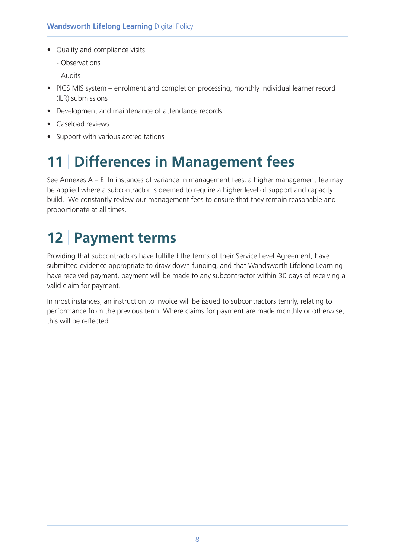- Quality and compliance visits
	- Observations
	- Audits
- PICS MIS system enrolment and completion processing, monthly individual learner record (ILR) submissions
- Development and maintenance of attendance records
- Caseload reviews
- Support with various accreditations

# **11** | **Differences in Management fees**

See Annexes A – E. In instances of variance in management fees, a higher management fee may be applied where a subcontractor is deemed to require a higher level of support and capacity build. We constantly review our management fees to ensure that they remain reasonable and proportionate at all times.

### **12** | **Payment terms**

Providing that subcontractors have fulfilled the terms of their Service Level Agreement, have submitted evidence appropriate to draw down funding, and that Wandsworth Lifelong Learning have received payment, payment will be made to any subcontractor within 30 days of receiving a valid claim for payment.

In most instances, an instruction to invoice will be issued to subcontractors termly, relating to performance from the previous term. Where claims for payment are made monthly or otherwise, this will be reflected.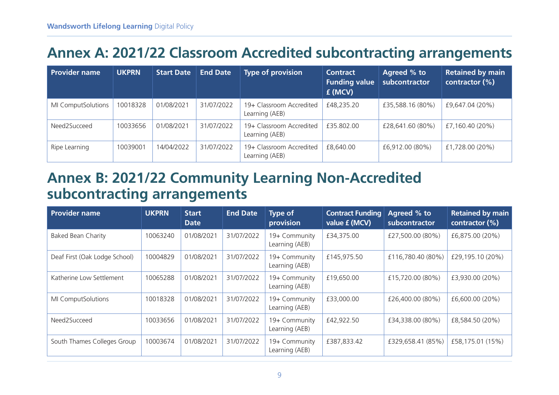#### **Annex A: 2021/22 Classroom Accredited subcontracting arrangements**

| <b>Provider name</b> | <b>UKPRN</b> | <b>Start Date</b> | <b>End Date</b> | <b>Type of provision</b>                   | <b>Contract</b><br><b>Funding value</b><br>£ (MCV) | Agreed % to<br>subcontractor | <b>Retained by main</b><br>contractor (%) |
|----------------------|--------------|-------------------|-----------------|--------------------------------------------|----------------------------------------------------|------------------------------|-------------------------------------------|
| MI ComputSolutions   | 10018328     | 01/08/2021        | 31/07/2022      | 19+ Classroom Accredited<br>Learning (AEB) | £48,235.20                                         | £35,588.16 (80%)             | £9,647.04 (20%)                           |
| Need2Succeed         | 10033656     | 01/08/2021        | 31/07/2022      | 19+ Classroom Accredited<br>Learning (AEB) | £35,802.00                                         | £28,641.60 (80%)             | £7,160.40 (20%)                           |
| Ripe Learning        | 10039001     | 14/04/2022        | 31/07/2022      | 19+ Classroom Accredited<br>Learning (AEB) | £8,640.00                                          | £6,912.00 (80%)              | £1,728.00 (20%)                           |

#### **Annex B: 2021/22 Community Learning Non-Accredited subcontracting arrangements**

| <b>Provider name</b>          | <b>UKPRN</b> | <b>Start</b><br><b>Date</b> | <b>End Date</b> | <b>Type of</b><br>provision     | <b>Contract Funding</b><br>value £ (MCV) | Agreed % to<br>subcontractor | <b>Retained by main</b><br>contractor (%) |
|-------------------------------|--------------|-----------------------------|-----------------|---------------------------------|------------------------------------------|------------------------------|-------------------------------------------|
| <b>Baked Bean Charity</b>     | 10063240     | 01/08/2021                  | 31/07/2022      | 19+ Community<br>Learning (AEB) | £34,375.00                               | £27,500.00 (80%)             | £6,875.00 (20%)                           |
| Deaf First (Oak Lodge School) | 10004829     | 01/08/2021                  | 31/07/2022      | 19+ Community<br>Learning (AEB) | £145,975.50                              | £116,780.40 (80%)            | £29,195.10 (20%)                          |
| Katherine Low Settlement      | 10065288     | 01/08/2021                  | 31/07/2022      | 19+ Community<br>Learning (AEB) | £19,650.00                               | £15,720.00 (80%)             | £3,930.00 (20%)                           |
| MI ComputSolutions            | 10018328     | 01/08/2021                  | 31/07/2022      | 19+ Community<br>Learning (AEB) | £33,000.00                               | £26,400.00 (80%)             | £6,600.00 (20%)                           |
| Need2Succeed                  | 10033656     | 01/08/2021                  | 31/07/2022      | 19+ Community<br>Learning (AEB) | £42,922.50                               | £34,338.00 (80%)             | £8,584.50 (20%)                           |
| South Thames Colleges Group   | 10003674     | 01/08/2021                  | 31/07/2022      | 19+ Community<br>Learning (AEB) | £387,833.42                              | £329,658.41 (85%)            | £58,175.01 (15%)                          |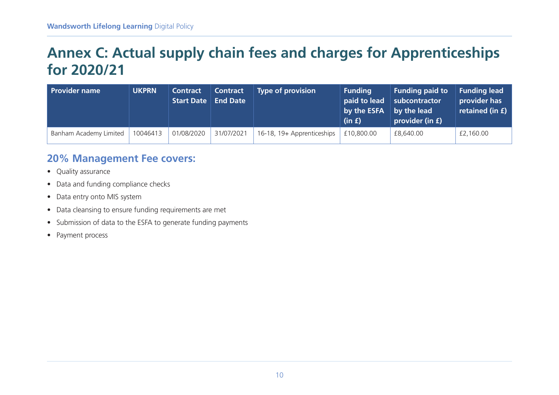#### **Annex C: Actual supply chain fees and charges for Apprenticeships for 2020/21**

| <b>Provider name</b>   | <b>UKPRN</b> | <b>Contract</b><br><b>Start Date</b> | <b>Contract</b><br><b>End Date</b> | <b>Type of provision</b>   | <b>Funding</b><br>paid to lead<br>by the ESFA<br>(in f) | <b>Funding paid to</b><br>subcontractor<br>by the lead<br>provider (in £) | <b>Funding lead</b><br>provider has<br>retained (in £) |
|------------------------|--------------|--------------------------------------|------------------------------------|----------------------------|---------------------------------------------------------|---------------------------------------------------------------------------|--------------------------------------------------------|
| Banham Academy Limited | 10046413     | 01/08/2020                           | 31/07/2021                         | 16-18, 19+ Apprenticeships | £10,800.00                                              | £8,640.00                                                                 | £2,160.00                                              |

#### **20% Management Fee covers:**

- Quality assurance
- Data and funding compliance checks
- Data entry onto MIS system
- Data cleansing to ensure funding requirements are met
- Submission of data to the ESFA to generate funding payments
- Payment process